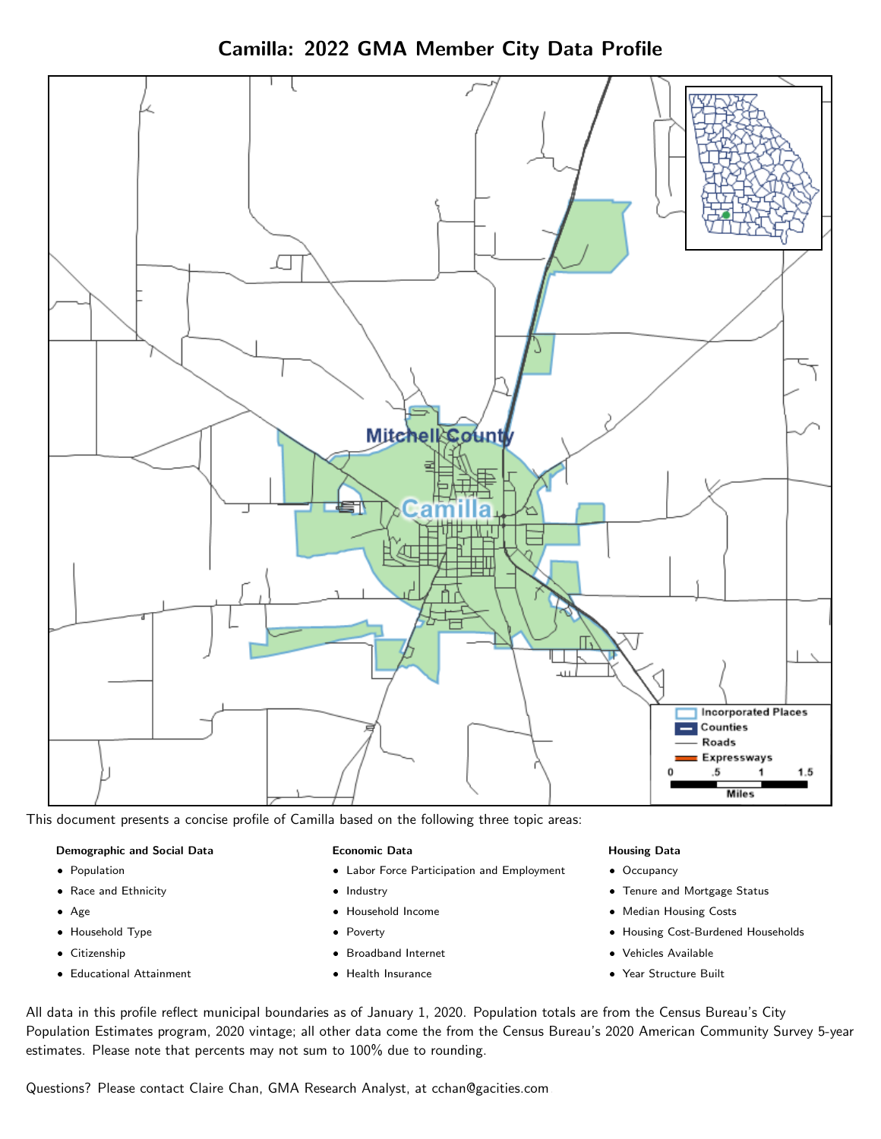Camilla: 2022 GMA Member City Data Profile



This document presents a concise profile of Camilla based on the following three topic areas:

#### Demographic and Social Data

- **•** Population
- Race and Ethnicity
- Age
- Household Type
- **Citizenship**
- Educational Attainment

#### Economic Data

- Labor Force Participation and Employment
- Industry
- Household Income
- Poverty
- Broadband Internet
- Health Insurance

#### Housing Data

- Occupancy
- Tenure and Mortgage Status
- Median Housing Costs
- Housing Cost-Burdened Households
- Vehicles Available
- $\bullet$ Year Structure Built

All data in this profile reflect municipal boundaries as of January 1, 2020. Population totals are from the Census Bureau's City Population Estimates program, 2020 vintage; all other data come the from the Census Bureau's 2020 American Community Survey 5-year estimates. Please note that percents may not sum to 100% due to rounding.

Questions? Please contact Claire Chan, GMA Research Analyst, at [cchan@gacities.com.](mailto:cchan@gacities.com)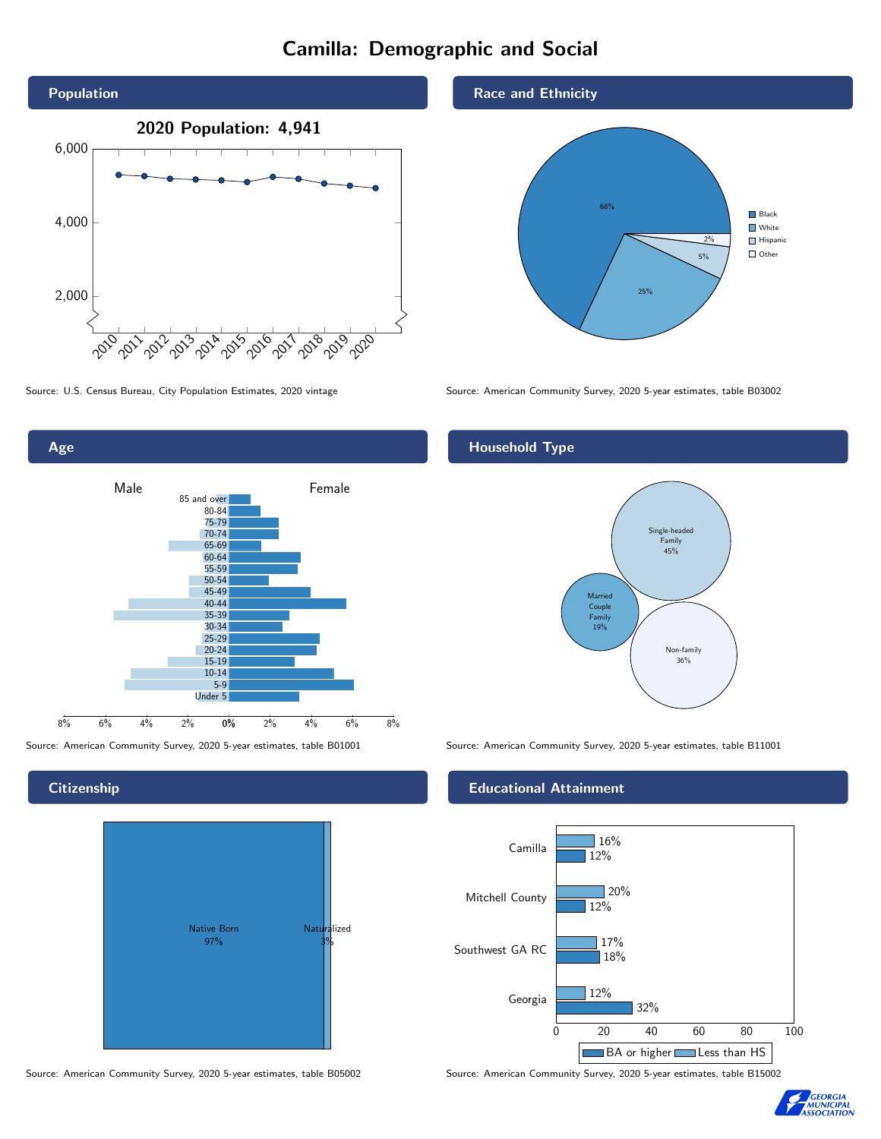# Camilla: Demographic and Social





**Citizenship** 



Source: American Community Survey, 2020 5-year estimates, table B05002 Source: American Community Survey, 2020 5-year estimates, table B15002

Race and Ethnicity



Source: U.S. Census Bureau, City Population Estimates, 2020 vintage Source: American Community Survey, 2020 5-year estimates, table B03002

### Household Type



Source: American Community Survey, 2020 5-year estimates, table B01001 Source: American Community Survey, 2020 5-year estimates, table B11001

#### Educational Attainment



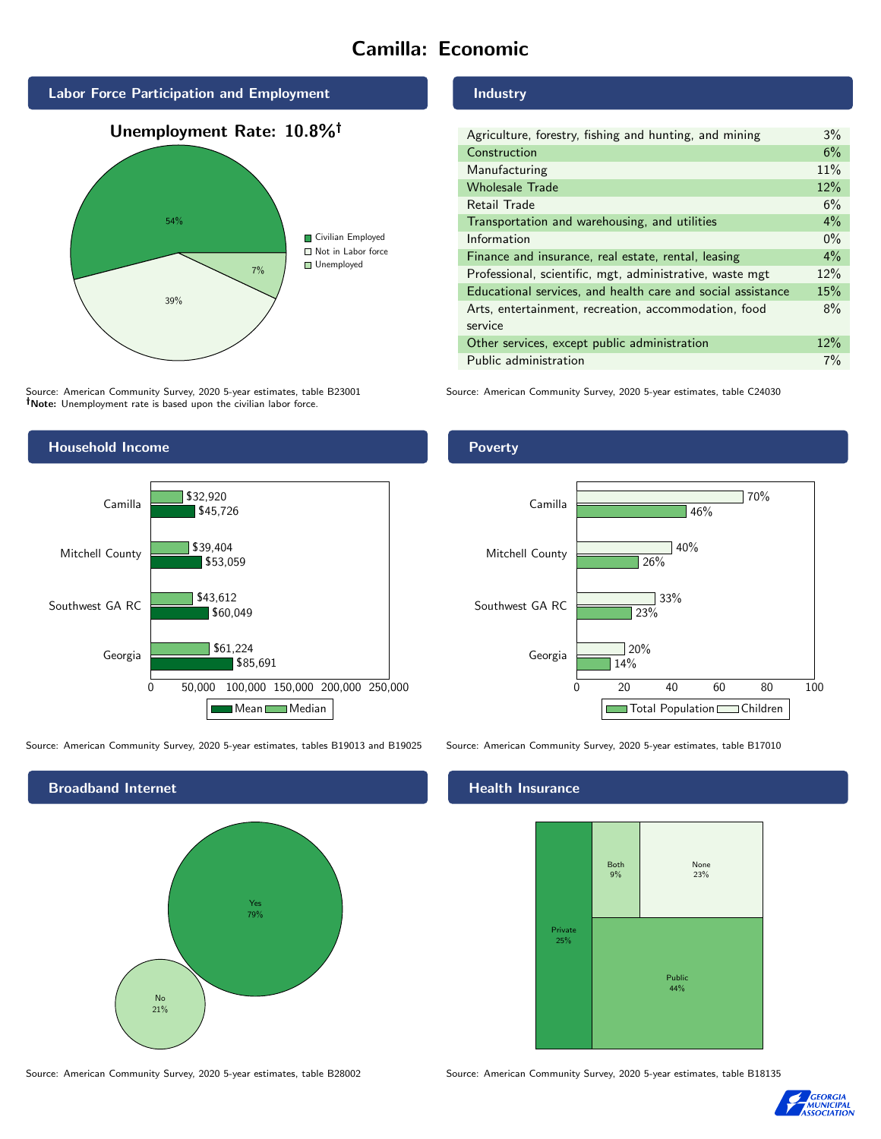# Camilla: Economic



# 39% 7% ■ Not in Labor force **Unemployed**

Source: American Community Survey, 2020 5-year estimates, table B23001 Note: Unemployment rate is based upon the civilian labor force.

# Industry

| Agriculture, forestry, fishing and hunting, and mining      | 3%    |
|-------------------------------------------------------------|-------|
| Construction                                                | 6%    |
| Manufacturing                                               | 11%   |
| <b>Wholesale Trade</b>                                      | 12%   |
| Retail Trade                                                | 6%    |
| Transportation and warehousing, and utilities               | 4%    |
| Information                                                 | $0\%$ |
| Finance and insurance, real estate, rental, leasing         | $4\%$ |
| Professional, scientific, mgt, administrative, waste mgt    | 12%   |
| Educational services, and health care and social assistance | 15%   |
| Arts, entertainment, recreation, accommodation, food        | 8%    |
| service                                                     |       |
| Other services, except public administration                | 12%   |
| Public administration                                       | 7%    |

Source: American Community Survey, 2020 5-year estimates, table C24030



Source: American Community Survey, 2020 5-year estimates, tables B19013 and B19025 Source: American Community Survey, 2020 5-year estimates, table B17010



Source: American Community Survey, 2020 5-year estimates, table B28002 Source: American Community Survey, 2020 5-year estimates, table B18135

Poverty



### **Health Insurance**